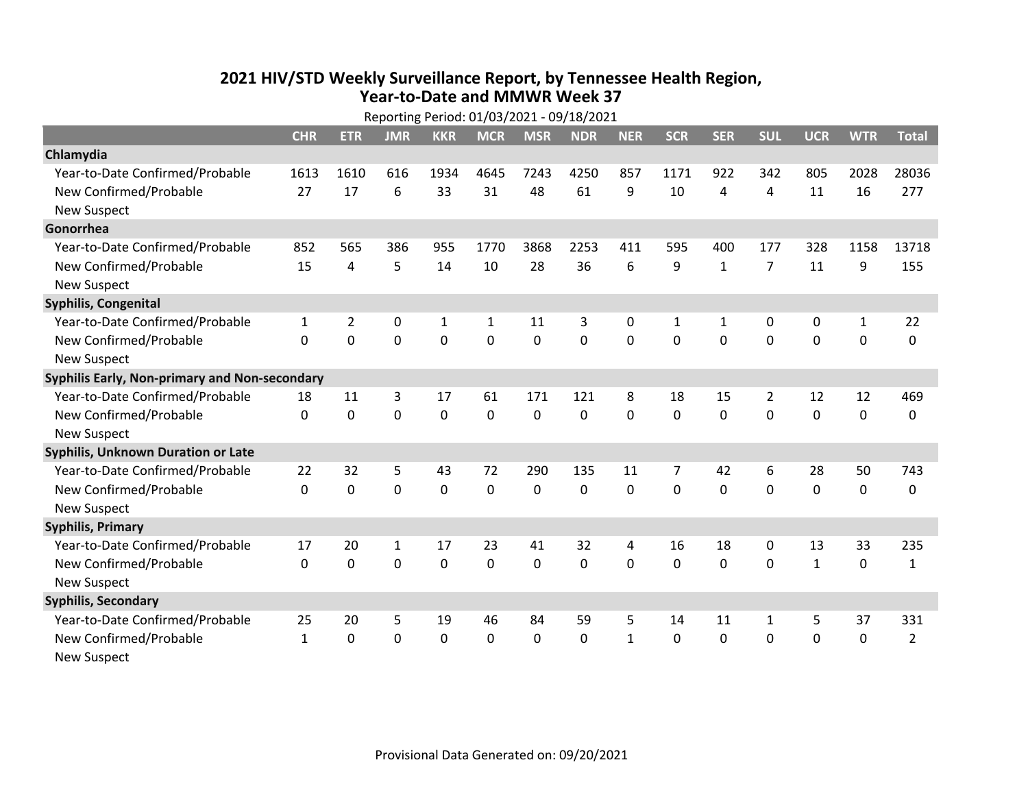## **2021 HIV /STD Weekly Surveillance Report, by Tennessee Health Region, Year‐to‐Date and MMWR Week 37** Reporting Period: 01/03/2021 ‐ 09/18/2021

|                                               | Reporting Period: 01/03/2021 - 09/18/2021 |                |              |              |              |             |            |              |              |              |                |              |              |                |
|-----------------------------------------------|-------------------------------------------|----------------|--------------|--------------|--------------|-------------|------------|--------------|--------------|--------------|----------------|--------------|--------------|----------------|
|                                               | <b>CHR</b>                                | <b>ETR</b>     | <b>JMR</b>   | <b>KKR</b>   | <b>MCR</b>   | <b>MSR</b>  | <b>NDR</b> | <b>NER</b>   | <b>SCR</b>   | <b>SER</b>   | <b>SUL</b>     | <b>UCR</b>   | <b>WTR</b>   | <b>Total</b>   |
| Chlamydia                                     |                                           |                |              |              |              |             |            |              |              |              |                |              |              |                |
| Year-to-Date Confirmed/Probable               | 1613                                      | 1610           | 616          | 1934         | 4645         | 7243        | 4250       | 857          | 1171         | 922          | 342            | 805          | 2028         | 28036          |
| New Confirmed/Probable                        | 27                                        | 17             | 6            | 33           | 31           | 48          | 61         | 9            | 10           | 4            | 4              | 11           | 16           | 277            |
| <b>New Suspect</b>                            |                                           |                |              |              |              |             |            |              |              |              |                |              |              |                |
| Gonorrhea                                     |                                           |                |              |              |              |             |            |              |              |              |                |              |              |                |
| Year-to-Date Confirmed/Probable               | 852                                       | 565            | 386          | 955          | 1770         | 3868        | 2253       | 411          | 595          | 400          | 177            | 328          | 1158         | 13718          |
| New Confirmed/Probable                        | 15                                        | 4              | 5            | 14           | 10           | 28          | 36         | 6            | 9            | $\mathbf{1}$ | $\overline{7}$ | 11           | 9            | 155            |
| <b>New Suspect</b>                            |                                           |                |              |              |              |             |            |              |              |              |                |              |              |                |
| <b>Syphilis, Congenital</b>                   |                                           |                |              |              |              |             |            |              |              |              |                |              |              |                |
| Year-to-Date Confirmed/Probable               | 1                                         | $\overline{2}$ | 0            | $\mathbf{1}$ | 1            | 11          | 3          | 0            | $\mathbf{1}$ | $\mathbf{1}$ | 0              | 0            | $\mathbf{1}$ | 22             |
| New Confirmed/Probable                        | $\Omega$                                  | 0              | $\mathbf 0$  | 0            | 0            | 0           | 0          | $\Omega$     | $\Omega$     | 0            | $\mathbf 0$    | 0            | $\mathbf 0$  | 0              |
| <b>New Suspect</b>                            |                                           |                |              |              |              |             |            |              |              |              |                |              |              |                |
| Syphilis Early, Non-primary and Non-secondary |                                           |                |              |              |              |             |            |              |              |              |                |              |              |                |
| Year-to-Date Confirmed/Probable               | 18                                        | 11             | 3            | 17           | 61           | 171         | 121        | 8            | 18           | 15           | $\overline{2}$ | 12           | 12           | 469            |
| New Confirmed/Probable                        | $\Omega$                                  | 0              | 0            | $\mathbf 0$  | 0            | 0           | 0          | $\Omega$     | $\Omega$     | $\mathbf 0$  | 0              | $\mathbf 0$  | $\mathbf 0$  | 0              |
| <b>New Suspect</b>                            |                                           |                |              |              |              |             |            |              |              |              |                |              |              |                |
| Syphilis, Unknown Duration or Late            |                                           |                |              |              |              |             |            |              |              |              |                |              |              |                |
| Year-to-Date Confirmed/Probable               | 22                                        | 32             | 5            | 43           | 72           | 290         | 135        | 11           | 7            | 42           | 6              | 28           | 50           | 743            |
| New Confirmed/Probable                        | $\Omega$                                  | 0              | $\mathbf 0$  | 0            | 0            | 0           | $\Omega$   | $\Omega$     | $\Omega$     | $\Omega$     | $\Omega$       | $\mathbf 0$  | $\mathbf 0$  | 0              |
| <b>New Suspect</b>                            |                                           |                |              |              |              |             |            |              |              |              |                |              |              |                |
| <b>Syphilis, Primary</b>                      |                                           |                |              |              |              |             |            |              |              |              |                |              |              |                |
| Year-to-Date Confirmed/Probable               | 17                                        | 20             | $\mathbf{1}$ | 17           | 23           | 41          | 32         | 4            | 16           | 18           | 0              | 13           | 33           | 235            |
| New Confirmed/Probable                        | 0                                         | 0              | $\mathbf 0$  | 0            | 0            | $\mathbf 0$ | 0          | $\Omega$     | $\Omega$     | 0            | $\mathbf 0$    | $\mathbf{1}$ | $\mathbf 0$  | $\mathbf{1}$   |
| <b>New Suspect</b>                            |                                           |                |              |              |              |             |            |              |              |              |                |              |              |                |
| <b>Syphilis, Secondary</b>                    |                                           |                |              |              |              |             |            |              |              |              |                |              |              |                |
| Year-to-Date Confirmed/Probable               | 25                                        | 20             | 5            | 19           | 46           | 84          | 59         | 5            | 14           | 11           | $\mathbf{1}$   | 5            | 37           | 331            |
| New Confirmed/Probable                        | $\mathbf{1}$                              | $\mathbf{0}$   | 0            | 0            | $\mathbf{0}$ | 0           | 0          | $\mathbf{1}$ | $\mathbf{0}$ | 0            | $\mathbf 0$    | 0            | $\mathbf 0$  | $\overline{2}$ |
| <b>New Suspect</b>                            |                                           |                |              |              |              |             |            |              |              |              |                |              |              |                |